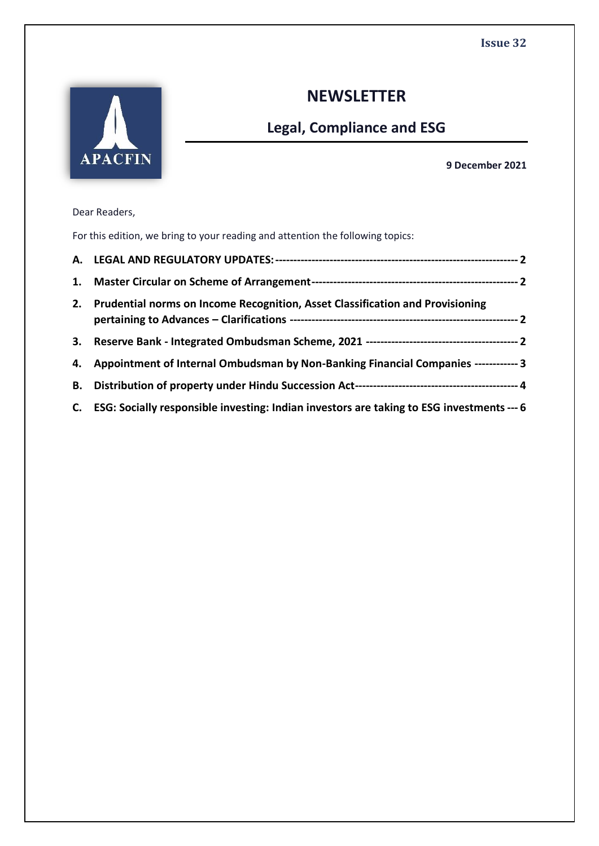

# **NEWSLETTER**

# **Legal, Compliance and ESG**

## **9 December 2021**

Dear Readers,

For this edition, we bring to your reading and attention the following topics:

| 2.        | Prudential norms on Income Recognition, Asset Classification and Provisioning                |  |
|-----------|----------------------------------------------------------------------------------------------|--|
|           |                                                                                              |  |
|           | 4. Appointment of Internal Ombudsman by Non-Banking Financial Companies ------------ 3       |  |
| <b>B.</b> |                                                                                              |  |
|           | C. ESG: Socially responsible investing: Indian investors are taking to ESG investments --- 6 |  |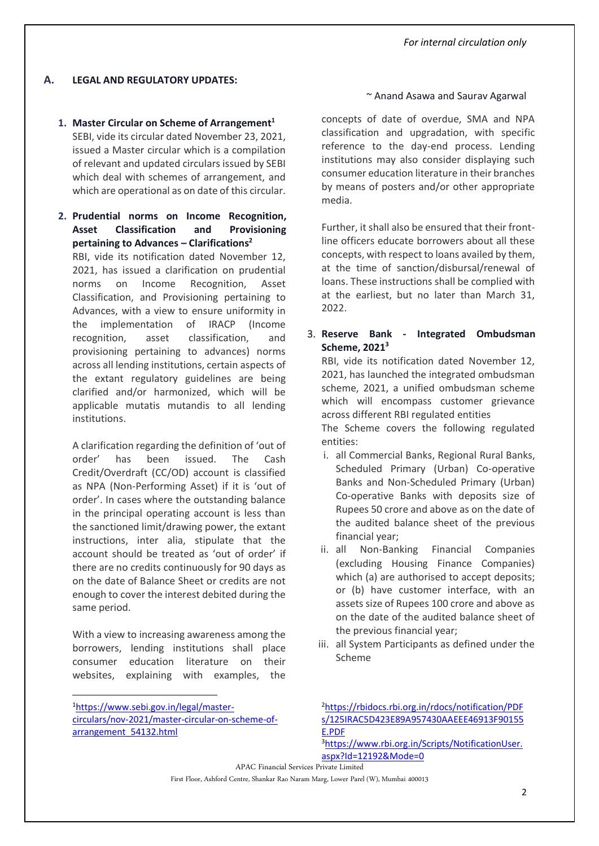## <span id="page-1-0"></span>**A. LEGAL AND REGULATORY UPDATES:**

- <span id="page-1-1"></span>**1. Master Circular on Scheme of Arrangement<sup>1</sup>** SEBI, vide its circular dated November 23, 2021, issued a Master circular which is a compilation of relevant and updated circulars issued by SEBI which deal with schemes of arrangement, and which are operational as on date of this circular.
- <span id="page-1-2"></span>**2. Prudential norms on Income Recognition, Asset Classification and Provisioning pertaining to Advances – Clarifications<sup>2</sup>** RBI, vide its notification dated November 12, 2021, has issued a clarification on prudential norms on Income Recognition, Asset Classification, and Provisioning pertaining to Advances, with a view to ensure uniformity in the implementation of IRACP (Income recognition, asset classification, and provisioning pertaining to advances) norms across all lending institutions, certain aspects of the extant regulatory guidelines are being clarified and/or harmonized, which will be applicable mutatis mutandis to all lending institutions.

A clarification regarding the definition of 'out of order' has been issued. The Cash Credit/Overdraft (CC/OD) account is classified as NPA (Non-Performing Asset) if it is 'out of order'. In cases where the outstanding balance in the principal operating account is less than the sanctioned limit/drawing power, the extant instructions, inter alia, stipulate that the account should be treated as 'out of order' if there are no credits continuously for 90 days as on the date of Balance Sheet or credits are not enough to cover the interest debited during the same period.

With a view to increasing awareness among the borrowers, lending institutions shall place consumer education literature on their websites, explaining with examples, the

#### ~ Anand Asawa and Saurav Agarwal

concepts of date of overdue, SMA and NPA classification and upgradation, with specific reference to the day-end process. Lending institutions may also consider displaying such consumer education literature in their branches by means of posters and/or other appropriate media.

Further, it shall also be ensured that their frontline officers educate borrowers about all these concepts, with respect to loans availed by them, at the time of sanction/disbursal/renewal of loans. These instructions shall be complied with at the earliest, but no later than March 31, 2022.

## <span id="page-1-3"></span>3. **Reserve Bank - Integrated Ombudsman Scheme, 2021<sup>3</sup>**

RBI, vide its notification dated November 12, 2021, has launched the integrated ombudsman scheme, 2021, a unified ombudsman scheme which will encompass customer grievance across different RBI regulated entities

The Scheme covers the following regulated entities:

- i. all Commercial Banks, Regional Rural Banks, Scheduled Primary (Urban) Co-operative Banks and Non-Scheduled Primary (Urban) Co-operative Banks with deposits size of Rupees 50 crore and above as on the date of the audited balance sheet of the previous financial year;
- ii. all Non-Banking Financial Companies (excluding Housing Finance Companies) which (a) are authorised to accept deposits; or (b) have customer interface, with an assets size of Rupees 100 crore and above as on the date of the audited balance sheet of the previous financial year;
- iii. all System Participants as defined under the Scheme

<sup>2</sup>[https://rbidocs.rbi.org.in/rdocs/notification/PDF](https://rbidocs.rbi.org.in/rdocs/notification/PDFs/125IRAC5D423E89A957430AAEEE46913F90155E.PDF) [s/125IRAC5D423E89A957430AAEEE46913F90155](https://rbidocs.rbi.org.in/rdocs/notification/PDFs/125IRAC5D423E89A957430AAEEE46913F90155E.PDF) [E.PDF](https://rbidocs.rbi.org.in/rdocs/notification/PDFs/125IRAC5D423E89A957430AAEEE46913F90155E.PDF) <sup>3</sup>[https://www.rbi.org.in/Scripts/NotificationUser.](https://www.rbi.org.in/Scripts/NotificationUser.aspx?Id=12192&Mode=0) [aspx?Id=12192&Mode=0](https://www.rbi.org.in/Scripts/NotificationUser.aspx?Id=12192&Mode=0)

APAC Financial Services Private Limited First Floor, Ashford Centre, Shankar Rao Naram Marg, Lower Parel (W), Mumbai 400013

<sup>1</sup>[https://www.sebi.gov.in/legal/master](https://www.sebi.gov.in/legal/master-circulars/nov-2021/master-circular-on-scheme-of-arrangement_54132.html)[circulars/nov-2021/master-circular-on-scheme-of](https://www.sebi.gov.in/legal/master-circulars/nov-2021/master-circular-on-scheme-of-arrangement_54132.html)[arrangement\\_54132.html](https://www.sebi.gov.in/legal/master-circulars/nov-2021/master-circular-on-scheme-of-arrangement_54132.html)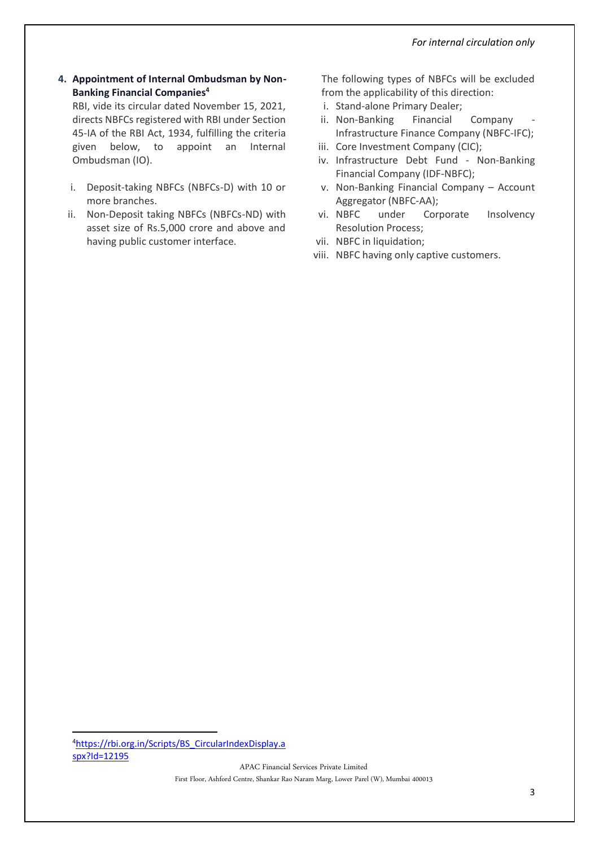## <span id="page-2-0"></span>**4. Appointment of Internal Ombudsman by Non-Banking Financial Companies<sup>4</sup>**

RBI, vide its circular dated November 15, 2021, directs NBFCs registered with RBI under Section 45-IA of the RBI Act, 1934, fulfilling the criteria given below, to appoint an Internal Ombudsman (IO).

- i. Deposit-taking NBFCs (NBFCs-D) with 10 or more branches.
- ii. Non-Deposit taking NBFCs (NBFCs-ND) with asset size of Rs.5,000 crore and above and having public customer interface.

The following types of NBFCs will be excluded from the applicability of this direction:

- i. Stand-alone Primary Dealer;
- ii. Non-Banking Financial Company Infrastructure Finance Company (NBFC-IFC);
- iii. Core Investment Company (CIC);
- iv. Infrastructure Debt Fund Non-Banking Financial Company (IDF-NBFC);
- v. Non-Banking Financial Company Account Aggregator (NBFC-AA);
- vi. NBFC under Corporate Insolvency Resolution Process;
- vii. NBFC in liquidation;
- viii. NBFC having only captive customers.

<sup>4</sup>[https://rbi.org.in/Scripts/BS\\_CircularIndexDisplay.a](https://rbi.org.in/Scripts/BS_CircularIndexDisplay.aspx?Id=12195) [spx?Id=12195](https://rbi.org.in/Scripts/BS_CircularIndexDisplay.aspx?Id=12195)

APAC Financial Services Private Limited

First Floor, Ashford Centre, Shankar Rao Naram Marg, Lower Parel (W), Mumbai 400013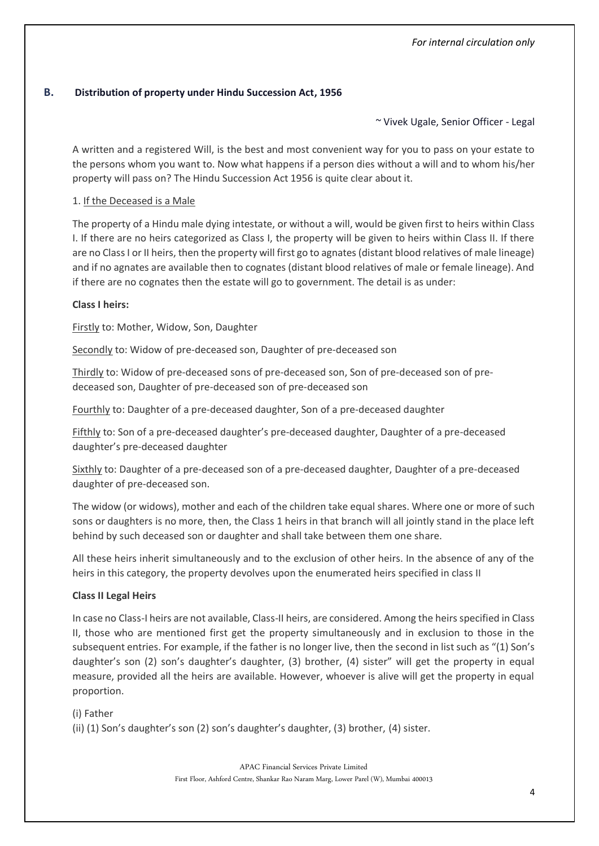## <span id="page-3-0"></span>**B. Distribution of property under Hindu Succession Act, 1956**

~ Vivek Ugale, Senior Officer - Legal

A written and a registered Will, is the best and most convenient way for you to pass on your estate to the persons whom you want to. Now what happens if a person dies without a will and to whom his/her property will pass on? The Hindu Succession Act 1956 is quite clear about it.

## 1. If the Deceased is a Male

The property of a Hindu male dying intestate, or without a will, would be given first to heirs within Class I. If there are no heirs categorized as Class I, the property will be given to heirs within Class II. If there are no Class I or II heirs, then the property will first go to agnates (distant blood relatives of male lineage) and if no agnates are available then to cognates (distant blood relatives of male or female lineage). And if there are no cognates then the estate will go to government. The detail is as under:

## **Class I heirs:**

Firstly to: Mother, Widow, Son, Daughter

Secondly to: Widow of pre-deceased son, Daughter of pre-deceased son

Thirdly to: Widow of pre-deceased sons of pre-deceased son, Son of pre-deceased son of predeceased son, Daughter of pre-deceased son of pre-deceased son

Fourthly to: Daughter of a pre-deceased daughter, Son of a pre-deceased daughter

Fifthly to: Son of a pre-deceased daughter's pre-deceased daughter, Daughter of a pre-deceased daughter's pre-deceased daughter

Sixthly to: Daughter of a pre-deceased son of a pre-deceased daughter, Daughter of a pre-deceased daughter of pre-deceased son.

The widow (or widows), mother and each of the children take equal shares. Where one or more of such sons or daughters is no more, then, the Class 1 heirs in that branch will all jointly stand in the place left behind by such deceased son or daughter and shall take between them one share.

All these heirs inherit simultaneously and to the exclusion of other heirs. In the absence of any of the heirs in this category, the property devolves upon the enumerated heirs specified in class II

## **Class II Legal Heirs**

In case no Class-I heirs are not available, Class-II heirs, are considered. Among the heirs specified in Class II, those who are mentioned first get the property simultaneously and in exclusion to those in the subsequent entries. For example, if the father is no longer live, then the second in list such as "(1) Son's daughter's son (2) son's daughter's daughter, (3) brother, (4) sister" will get the property in equal measure, provided all the heirs are available. However, whoever is alive will get the property in equal proportion.

(i) Father (ii) (1) Son's daughter's son (2) son's daughter's daughter, (3) brother, (4) sister.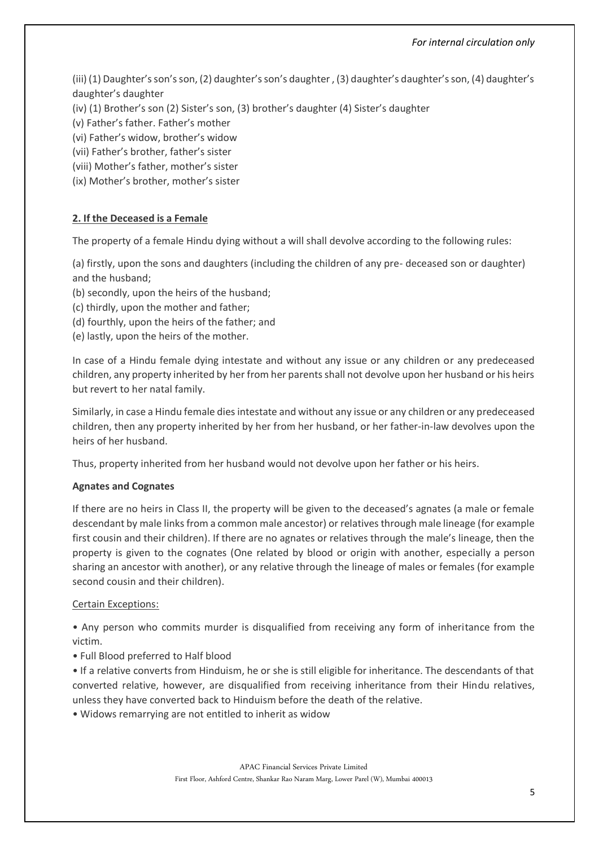## *For internal circulation only*

(iii) (1) Daughter's son's son, (2) daughter's son's daughter , (3) daughter's daughter's son, (4) daughter's daughter's daughter

(iv) (1) Brother's son (2) Sister's son, (3) brother's daughter (4) Sister's daughter

(v) Father's father. Father's mother

(vi) Father's widow, brother's widow

(vii) Father's brother, father's sister

(viii) Mother's father, mother's sister

(ix) Mother's brother, mother's sister

## **2. If the Deceased is a Female**

The property of a female Hindu dying without a will shall devolve according to the following rules:

(a) firstly, upon the sons and daughters (including the children of any pre- deceased son or daughter) and the husband;

- (b) secondly, upon the heirs of the husband;
- (c) thirdly, upon the mother and father;
- (d) fourthly, upon the heirs of the father; and
- (e) lastly, upon the heirs of the mother.

In case of a Hindu female dying intestate and without any issue or any children or any predeceased children, any property inherited by her from her parents shall not devolve upon her husband or his heirs but revert to her natal family.

Similarly, in case a Hindu female dies intestate and without any issue or any children or any predeceased children, then any property inherited by her from her husband, or her father-in-law devolves upon the heirs of her husband.

Thus, property inherited from her husband would not devolve upon her father or his heirs.

## **Agnates and Cognates**

If there are no heirs in Class II, the property will be given to the deceased's agnates (a male or female descendant by male links from a common male ancestor) or relatives through male lineage (for example first cousin and their children). If there are no agnates or relatives through the male's lineage, then the property is given to the cognates (One related by blood or origin with another, especially a person sharing an ancestor with another), or any relative through the lineage of males or females (for example second cousin and their children).

## Certain Exceptions:

• Any person who commits murder is disqualified from receiving any form of inheritance from the victim.

• Full Blood preferred to Half blood

• If a relative converts from Hinduism, he or she is still eligible for inheritance. The descendants of that converted relative, however, are disqualified from receiving inheritance from their Hindu relatives, unless they have converted back to Hinduism before the death of the relative.

• Widows remarrying are not entitled to inherit as widow